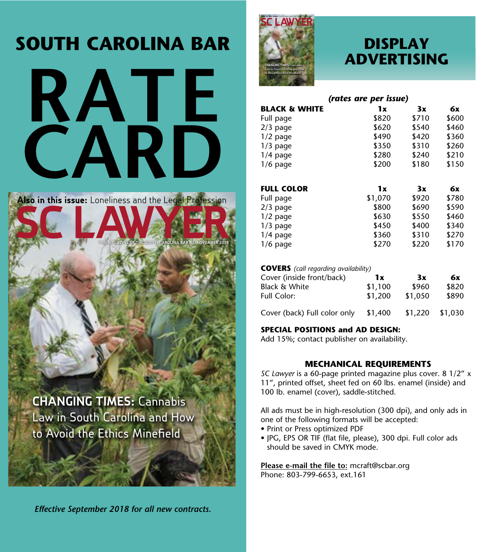# **SOUTH CAROLINA BAR**



**Also in this issue:**  Loneliness and the Legal Profession

 **THE MAGAZINE OF THE SOUTH CAROLINA BAR // NOVEMBER 2018**

**CHANGING TIMES:** Cannabis Law in South Carolina and How to Avoid the Ethics Minefield

*Effective September 2018 for all new contracts.*



### **DISPLAY ADVERTISING**

|                          | (rates are per issue) |       |       |
|--------------------------|-----------------------|-------|-------|
| <b>BLACK &amp; WHITE</b> | 1x                    | 3x    | 6x    |
| Full page                | \$820                 | \$710 | \$600 |
| $2/3$ page               | \$620                 | \$540 | \$460 |
| $1/2$ page               | \$490                 | \$420 | \$360 |
| $1/3$ page               | \$350                 | \$310 | \$260 |
| $1/4$ page               | \$280                 | \$240 | \$210 |
| $1/6$ page               | \$200                 | \$180 | \$150 |
|                          |                       |       |       |
| <b>FULL COLOR</b>        | 1x                    | 3x    | 6x    |
| Full page                | \$1,070               | \$920 | \$780 |
| $2/3$ page               | \$800                 | \$690 | \$590 |
| $1/2$ page               | \$630                 | \$550 | \$460 |
| $1/3$ page               | \$450                 | \$400 | \$340 |
| $1/4$ page               | \$360                 | \$310 | \$270 |
| $1/6$ page               | \$270                 | \$220 | \$170 |

#### **COVERS** *(call regarding availability)*

| Cover (inside front/back)    | 1x      | 3x      | 6x      |  |
|------------------------------|---------|---------|---------|--|
| <b>Black &amp; White</b>     | \$1,100 | \$960   | \$820   |  |
| Full Color:                  | \$1,200 | \$1,050 | \$890   |  |
| Cover (back) Full color only | \$1,400 | \$1,220 | \$1,030 |  |

### **SPECIAL POSITIONS and AD DESIGN:**

Add 15%; contact publisher on availability.

### **MECHANICAL REQUIREMENTS**

*SC Lawyer* is a 60-page printed magazine plus cover. 8 1/2" x 11", printed offset, sheet fed on 60 lbs. enamel (inside) and 100 lb. enamel (cover), saddle-stitched.

All ads must be in high-resolution (300 dpi), and only ads in one of the following formats will be accepted:

- Print or Press optimized PDF
- JPG, EPS OR TIF (flat file, please), 300 dpi. Full color ads should be saved in CMYK mode.

**Please e-mail the file to:** mcraft@scbar.org Phone: 803-799-6653, ext.161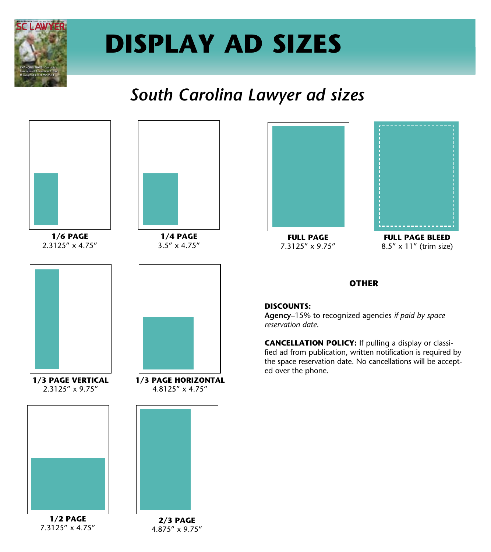

# **DISPLAY AD SIZES**

## *South Carolina Lawyer ad sizes*



**1/6 PAGE** 2.3125" x 4.75"



**1/4 PAGE** 3.5" x 4.75"



**FULL PAGE** 7.3125" x 9.75"



**FULL PAGE BLEED** 8.5" x 11" (trim size)

### **OTHER**

#### **DISCOUNTS:**

**Agency–**15% to recognized agencies *if paid by space reservation date*.

**CANCELLATION POLICY:** If pulling a display or classified ad from publication, written notification is required by the space reservation date. No cancellations will be accepted over the phone.





**1/2 PAGE** 7.3125" x 4.75"



**1/3 PAGE HORIZONTAL** 4.8125" x 4.75"



**2/3 PAGE** 4.875" x 9.75"